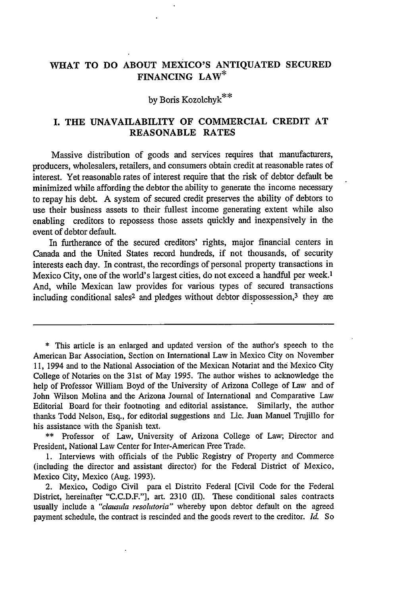## **WHAT TO DO ABOUT MEXICO'S ANTIQUATED SECURED FINANCING LAW\***

# **by** Boris Kozolchyk\*\*

#### **I. THE UNAVAILABILITY OF COMMERCIAL CREDIT AT REASONABLE RATES**

Massive distribution of goods and services requires that manufacturers, producers, wholesalers, retailers, and consumers obtain credit at reasonable rates of interest. Yet reasonable rates of interest require that the risk of debtor default be minimized while affording the debtor the ability to generate the income necessary to repay his debt. **A** system of secured credit preserves the ability of debtors to use their business assets to their fullest income generating extent while also enabling creditors to repossess those assets quickly and inexpensively in the event of debtor default.

In furtherance of the secured creditors' rights, major financial centers in Canada and the United States record hundreds, if not thousands, of security interests each day. In contrast, the recordings of personal property transactions in Mexico City, one of the world's largest cities, do not exceed a handful per week.<sup>1</sup> And, while Mexican law provides for various types of secured transactions including conditional sales<sup>2</sup> and pledges without debtor dispossession,<sup>3</sup> they are

**\*** This article is an enlarged and updated version of the author's speech to the American Bar Association, Section on International Law in Mexico City on November **II,** 1994 and to the National Association of the Mexican Notariat and the Mexico City College of Notaries on the 31st of May **1995. The** author wishes to acknowledge the help of Professor William Boyd of the University of Arizona College of Law and of John Wilson Molina and the Arizona Journal of International and Comparative Law Editorial Board for their footnoting and editorial assistance. Similarly, the author thanks Todd Nelson, Esq., for editorial suggestions and Lic. Juan Manuel Trujillo for his assistance with the Spanish text.

**\*\*** Professor of Law, University of Arizona College of Law; Director and President, National Law Center for Inter-American Free Trade.

**1.** Interviews with officials of the Public Registry of Property and Commerce (including the director and assistant director) for the Federal District of Mexico, Mexico City, Mexico (Aug. **1993).**

2. Mexico, Codigo Civil para el Distrito Federal [Civil Code for the Federal District, hereinafter **"C.C.D.F."],** art. **2310 (II).** These conditional sales contracts usually include a *"clausula resolutoria"* whereby upon debtor default on the agreed payment schedule, the contract is rescinded and the goods revert to the creditor. *Id.* So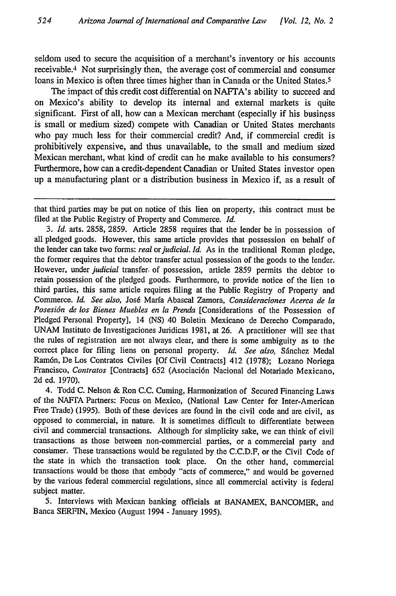seldom used to secure the acquisition of a merchant's inventory or his accounts receivable.<sup>4</sup> Not surprisingly then, the average cost of commercial and consumer loans in Mexico is often three times higher than in Canada or the United States.<sup>5</sup>

The impact of this credit cost differential on NAFTA's ability to succeed and on Mexico's ability to develop its internal and external markets is quite significant. First of all, how can a Mexican merchant (especially if his business is small or medium sized) compete with Canadian or United States merchants who pay much less for their commercial credit? And, if commercial credit is prohibitively expensive, and thus unavailable, to the small and medium sized Mexican merchant, what kind of credit can he make available to his consumers? Furthermore, how can a credit-dependent Canadian or United States investor open up a manufacturing plant or a distribution business in Mexico if, as a result of

*3. Id.* arts. 2858, 2859. Article 2858 requires that the lender be in possession of all pledged goods. However, this same article provides that possession on behalf of the lender can take two forms: *real or judicial. Id.* As in the traditional Roman pledge, the former requires that the debtor transfer actual possession of the goods to the lender. However, under *judicial* transfer. of possession, article 2859 permits the debtor to retain possession of the pledged goods. Furthermore, to provide notice of the lien to third parties, this same article requires filing at the Public Registry of Property and Commerce. *Id. See also,* Jos6 Marfa Abascal Zamora, *Consideraciones Acerca de la Posesidn de los Bienes Muebles en la Prenda* [Considerations of the Possession of Pledged Personal Property], 14 (NS) 40 Boletin Mexicano de Derecho Comparado, UNAM Instituto de Investigaciones Juridicas 1981, at 26. A practitioner will see that the rules of registration are not always clear, and there is some ambiguity as to the correct place for filing liens on personal property. *Id. See also*, Sánchez Medal Ram6n, ])e Los Contratos Civiles [Of Civil Contracts] 412 (1978); Lozano Noriega Francisco, *Contratos* [Contracts] 652 (Asociaci6n Nacional del Notariado Mexicano, 2d ed. 1970).

4. Todd C. Nelson & Ron C.C. Cuming, Harmonization of Secured Financing Laws of the NAFTA Partners: Focus on Mexico, (National Law Center for Inter-American Free Trade) (1995). Both of these devices are found in the civil code and are civil, as opposed to commercial, in nature. It is sometimes difficult to differentiate between civil and commercial transactions. Although for simplicity sake, we can think of civil transactions as those between non-commercial parties, or a commercial party and consinmer. These transactions would be regulated by the C.C.D.F, or the Civil Code of the state in which the transaction took place. On the other hand, commercial transactions would be those that embody "acts of commerce," and would be governed by the various federal commercial regulations, since all commercial activity is federal subject matter.

5. Interviews with Mexican banking officials at BANAMEX, BANCOMER, and Banca SERFIN, Mexico (August 1994 - January 1995).

that third parties may be put on notice of this lien on property, this contract must be filed at the Public Registry of Property and Commerce. *Id.*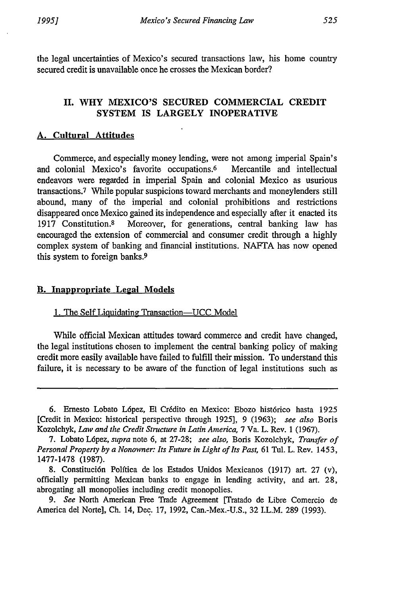the legal uncertainties of Mexico's secured transactions law, his home country secured credit is unavailable once he crosses the Mexican border?

## **II.** WHY **MEXICO'S SECURED** COMMERCIAL CREDIT SYSTEM IS LARGELY INOPERATIVE

## **A. Cultural Attitudes**

Commerce, and especially money lending, were not among imperial Spain's and colonial Mexico's favorite occupations.6 Mercantile and intellectual endeavors were regarded in imperial Spain and colonial Mexico as usurious transactions.7 While popular suspicions toward merchants and moneylenders still abound, many of the imperial and colonial prohibitions and restrictions disappeared once Mexico gained its independence and especially after it enacted its 1917 Constitution.8 Moreover, for generations, central banking law has encouraged the extension of commercial and consumer credit through a highly complex system of banking and financial institutions. NAFTA has now opened this system to foreign banks.<sup>9</sup>

#### B. Inappropriate Legal Models

#### 1. The Self Liquidating Transaction-UCC Model

While official Mexican attitudes toward commerce and credit have changed, the legal institutions chosen to implement the central banking policy of making credit more easily available have failed to fulfill their mission. To understand this failure, it is necessary to be aware of the function of legal institutions such as

<sup>6.</sup> Ernesto Lobato López, El Crédito en Mexico: Ebozo histórico hasta 1925 [Credit in Mexico: historical perspective through 1925), 9 (1963); *see also* Boris Kozolchyk, *Law and the Credit Structure in Latin America,* 7 Va. L. Rev. 1 (1967).

<sup>7.</sup> Lobato L6pez, *supra* note 6, at 27-28; *see also,* Boris Kozolchyk, *Transfer of Personal Property by a Nonowner: Its Future in Light of Its Past,* 61 Tul. L. Rev. 1453, 1477-1478 (1987).

<sup>8.</sup> Constitución Política de los Estados Unidos Mexicanos (1917) art. 27 (v), officially permitting Mexican banks to engage in lending activity, and art. 28, abrogating all monopolies including credit monopolies.

*<sup>9.</sup> See* North American Free Trade Agreement [Tratado de Libre Comercio de America del Norte], Ch. 14, Dec. 17, 1992, Can.-Mex.-U.S., 32 I.L.M. 289 (1993).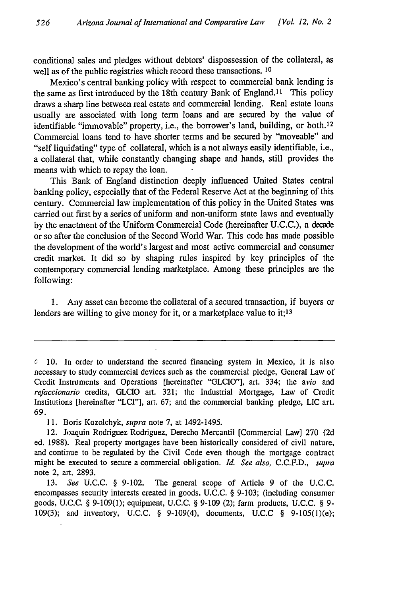conditional sales and pledges without debtors' dispossession of the collateral, as well as of the public registries which record these transactions. **10**

Mexico's central banking policy with respect to commercial bank lending is the same as first introduced by the 18th century Bank of England.<sup>11</sup> This policy draws a sharp line between real estate and commercial lending. Real estate loans usually are associated with long term loans and are secured by the value of identifiable "immovable" property, i.e., the borrower's land, building, or both.<sup>12</sup> Commercial loans tend to have shorter terms and be secured by "moveable" and "self liquidating" type of collateral, which is a not always easily identifiable, i.e., a collateral that, while constantly changing shape and hands, still provides the means with which to repay the loan.

This Bank of England distinction deeply influenced United States central banking policy, especially that of the Federal Reserve Act at the beginning of this century. Commercial law implementation of this policy in the United States was carried out first by a series of uniform and non-uniform state laws and eventually by the enactment of the Uniform Commercial Code (hereinafter U.C.C.), a decade or so after the conclusion of the Second World War. This code has made possible the development of the world's largest and most active commercial and consumer credit market. It did so by shaping rules inspired by key principles of the contemporary commercial lending marketplace. Among these principles are the following:

1. Any asset can become the collateral of a secured transaction, if buyers or lenders are willing to give money for it, or a marketplace value to **it;13**

**f** 10. In order to understand the secured financing system in Mexico, it is also necessary to study commercial devices such as the commercial pledge, General Law of Credit Instruments and Operations [hereinafter "GLCIO"], art. 334; the *avio* and *refaccionario* credits, GLCIO art. 321; the Industrial Mortgage, Law of Credit Institutions [hereinafter "LCI"], art. 67; and the commercial banking pledge, LIC art. 69.

<sup>11.</sup> Boris Kozolchyk, *supra* note 7, at 1492-1495.

<sup>12.</sup> Joaquin Rodriguez Rodriguez, Derecho Mercantil [Commercial Law] 270 (2d ed. 1988). Real property mortgages have been historically considered of civil nature, and continue to be regulated by the Civil Code even though the mortgage contract might be executed to secure a commercial obligation. *Id. See also,* C.C.F.D., *supra* note 2, art. 2893.

<sup>13.</sup> *See* U.C.C. § 9-102. The general scope of Article 9 of the U.C.C. encompasses security interests created in goods, U.C.C. § 9-103; (including consumer goods, U.C.C. § 9-109(1); equipment, U.C.C. § 9-109 (2); farm products, U.C.C. § 9- 109(3); and inventory, U.C.C. § 9-109(4), documents, U.C.C § 9-105(l)(e);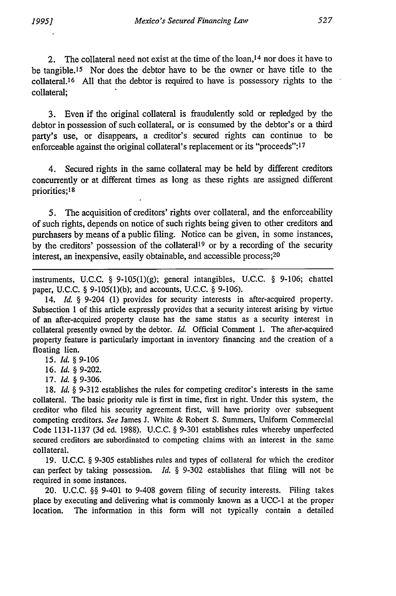2. The collateral need not exist at the time of the loan,14 nor does it have to be tangible.<sup>15</sup> Nor does the debtor have to be the owner or have title to the  $collateral<sup>16</sup>$  All that the debtor is required to have is possessory rights to the collateral;

3. Even if the original collateral is fraudulently sold or repledged by the debtor in possession of such collateral, or is consumed by the debtor's or a third party's use, or disappears, a creditor's secured rights can continue to be enforceable against the original collateral's replacement or its "proceeds":<sup>17</sup>

4. Secured rights in the same collateral may be held by different creditors concurrently or at different times as long as these rights are assigned different priorities;l8

5. The acquisition of creditors' rights over collateral, and the enforceability of such rights, depends on notice of such rights being given to other creditors and purchasers by means of a public filing. Notice can be given, in some instances, by the creditors' possession of the collateral<sup>19</sup> or by a recording of the security interest, an inexpensive, easily obtainable, and accessible process; <sup>20</sup>

instruments, U.C.C. **§** 9-105(l)(g); general intangibles, U.C.C. **§** 9-106; chattel paper, U.C.C. **§** 9-105(1)(b); and accounts, U.C.C. **§** 9-106).

14. *Id.* **§** 9-204 (1) provides for security interests in after-acquired property. Subsection 1 of this article expressly provides that a security interest arising by virtue of an after-acquired property clause has the same status as a security interest in collateral presently owned by the debtor. *Id.* Official Comment 1. The after-acquired property feature is particularly important in inventory financing and the creation of a floating lien.

15. *Id. §* 9-106

16. *Id.* **§** 9-202.

17. *Id. §* 9-306.

18. *Id.* **§** 9-312 establishes the rules for competing creditor's interests in the same collateral. The basic priority rule is first in time, first in right. Under this system, the creditor who filed his security agreement first, will have priority over subsequent competing creditors. *See* James J. White & Robert S. Summers, Uniform Commercial Code 1131-1137 (3d ed. 1988). U.C.C. **§** 9-301 establishes rules whereby unperfected secured creditors are subordinated to competing claims with an interest in the same collateral.

19. U.C.C. § 9-305 establishes rules and types of collateral for which the creditor can perfect by taking possession. *Id.* **§** 9-302 establishes that filing will not be required in some instances.

20. U.C.C. **§§** 9-401 to 9-408 govern filing of security interests. Filing takes place by executing and delivering what is commonly known as a UCC-1 at the proper location. The information in this form will not typically contain a detailed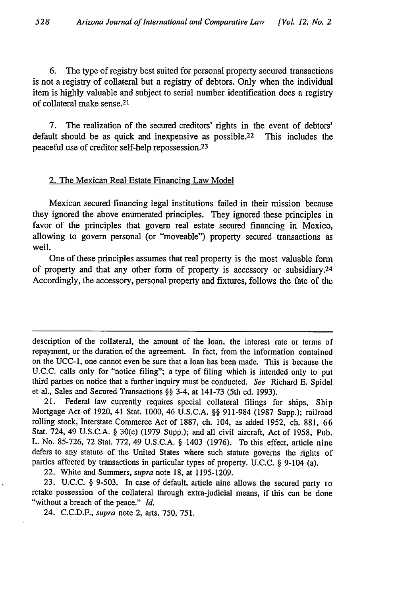6. The type of registry best suited for personal property secured transactions is not a registry of collateral but a registry of debtors. Only when the individual item is highly valuable and subject to serial number identification does a registry of collateral make sense.<sup>2</sup> <sup>1</sup>

7. The realization of the secured creditors' rights in the event of debtors' default should be as quick and inexpensive as possible.<sup>22</sup> This includes the peaceful use of creditor self-help repossession. <sup>23</sup>

#### 2. The Mexican Real Estate Financing Law Model

Mexican secured financing legal institutions failed in their mission because they ignored the above enumerated principles. They ignored these principles in favor of the principles that govern real estate secured financing in Mexico, allowing to govern personal (or "moveable") property secured transactions as well.

One of these principles assumes that real property is the most valuable form of property and that any other form of property is accessory or subsidiary.<sup>24</sup> Accordingly, the accessory, personal property and fixtures, follows the fate of the

description of the collateral, the amount of the loan, the interest rate or terms of repayment, or the duration of the agreement. In fact, from the information contained on the UCC-1, one cannot even be sure that a loan has been made. This is because the U.C.C. calls only for "notice filing"; a type of filing which is intended only to put third parties on notice that a further inquiry must be conducted. *See* Richard E. Spidel et al., Sales and Secured Transactions §§ 3-4, at 141-73 (5th ed. 1993).

21. Federal law currently requires special collateral filings for ships, Ship Mortgage Act of 1920, 41 Stat. 1000, 46 U.S.C.A. §§ 911-984 (1987 Supp.); railroad rolling stock, Interstate Commerce Act of 1887, ch. 104, as added 1952, ch. 881, 66 Stat. 724, 49 U.S.C.A. § 30(c) (1979 Supp.); and all civil aircraft, Act of 1958, Pub. L. No. 85-726, 72 Stat. 772, 49 U.S.C.A. § 1403 (1976). To this effect, article nine defers to any statute of the United States where such statute governs the rights of parties affected by transactions in particular types of property. U.C.C. § 9-104 (a).

22. White and Summers, *supra* note 18, at 1195-1209.

23. U.C.C. § 9-503. In case of default, article nine allows the secured party to retake possession of the collateral through extra-judicial means, if this can be done "without a breach of the peace." *Id.*

24. C.C.D.F., *supra* note 2, arts. 750, 751.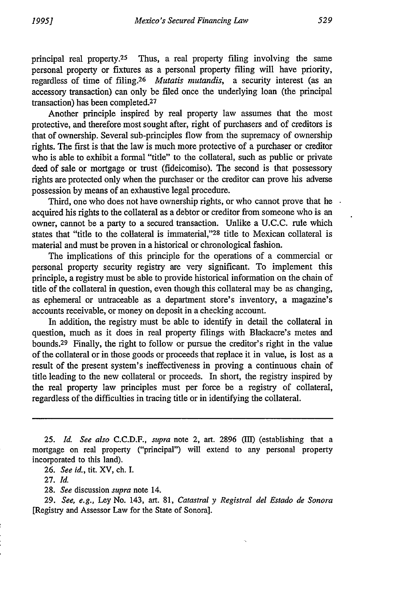principal real property.<sup>25</sup> Thus, a real property filing involving the same personal property or fixtures as a personal property filing will have priority, regardless of time of filing.26 *Mutatis mutandis,* a security interest (as an accessory transaction) can only be filed once the underlying loan (the principal transaction) has been completed. <sup>27</sup>

Another principle inspired by real property law assumes that the most protective, and therefore most sought after, right of purchasers and of creditors is that of ownership. Several sub-principles flow from the supremacy of ownership rights. The first is that the law is much more protective of a purchaser or creditor who is able to exhibit a formal "title" to the collateral, such as public or private deed of sale or mortgage or trust (fideicomiso). The second is that possessory rights are protected only when the purchaser or the creditor can prove his adverse possession by means of an exhaustive legal procedure.

Third, one who does not have ownership rights, or who cannot prove that he . acquired his rights to the collateral as a debtor or creditor from someone who is an owner, cannot be a party to a secured transaction. Unlike a U.C.C. rule which states that "title to the collateral is immaterial,"28 title to Mexican collateral is material and must be proven in a historical or chronological fashion.

The implications of this principle for the operations of a commercial or personal property security registry are very significant. To implement this principle, a registry must be able to provide historical information on the chain of title of the collateral in question, even though this collateral may be as changing, as ephemeral or untraceable as a department store's inventory, a magazine's accounts receivable, or money on deposit in a checking account.

In addition, the registry must be able to identify in detail the collateral in question, much as it does in real property filings with Blackacre's metes and bounds. 29 Finally, the right to follow or pursue the creditor's right in the value of the collateral or in those goods or proceeds that replace it in value, is lost as a result of the present system's ineffectiveness in proving a continuous chain of title leading to the new collateral or proceeds. In short, the registry inspired by the real property law principles must per force be a registry of collateral, regardless of the difficulties in tracing title or in identifying the collateral.

25. *Id. See also* C.C.D.F., *supra* note 2, art. 2896 (II) (establishing that a mortgage on real property ("principal") will extend to any personal property incorporated to this land).

26. *See id.,* tit. XV, ch. I.

27. *Id.*

28. *See* discussion *supra* note 14.

29. *See, e.g.,* Ley No. 143, art. 81, *Catastral y Registral del Estado de Sonora* [Registry and Assessor Law for the State of Sonora].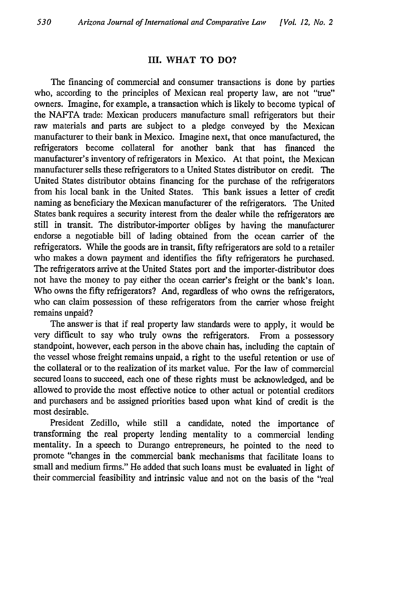#### III. WHAT TO **DO?**

The financing of commercial and consumer transactions is done by parties who, according to the principles of Mexican real property law, are not "true" owners. Imagine, for example, a transaction which is likely to become typical of the NAFTA trade: Mexican producers manufacture small refrigerators but their raw materials and parts are subject to a pledge conveyed by the Mexican manufacturer to their bank in Mexico. Imagine next, that once manufactured, the refrigerators become collateral for another bank that has financed the manufacturer's inventory of refrigerators in Mexico. At that point, the Mexican manufacturer sells these refrigerators to a United States distributor on credit. The United States distributor obtains financing for the purchase of the refrigerators from his local bank in the United States. This bank issues a letter of credit naming as beneficiary the Mexican manufacturer of the refrigerators. The United States bank requires a security interest from the dealer while the refrigerators are still in transit. The distributor-importer obliges by having the manufacturer endorse a negotiable bill of lading obtained from the ocean carrier of the refrigerators. While the goods are in transit, fifty refrigerators are sold to a retailer who makes a down payment and identifies the fifty refrigerators he purchased. The refigerators arrive at the United States port and the importer-distributor does not have the money to pay either the ocean carrier's freight or the bank's loan. Who owns the fifty refrigerators? And, regardless of who owns the refrigerators, who can claim possession of these refrigerators from the carrier whose freight remains unpaid?

The answer is that if real property law standards were to apply, it would be very difficult to say who truly owns the refrigerators. From a possessory standpoint, however, each person in the above chain has, including the captain of the vessel whose freight remains unpaid, a right to the useful retention or use of the collateral or to the realization of its market value. For the law of commercial secured loans to succeed, each one of these rights must be acknowledged, and be allowed to provide the most effective notice to other actual or potential creditors and purchasers and be assigned priorities based upon what kind of credit is the most desirable.

President Zedillo, while still a candidate, noted the importance of transforming the real property lending mentality to a commercial lending mentality. In a speech to Durango entrepreneurs, he pointed to the need to promote "changes in the commercial bank mechanisms that facilitate loans to small and medium firms." He added that such loans must be evaluated in light of their commercial feasibility and intrinsic value and not on the basis of the "real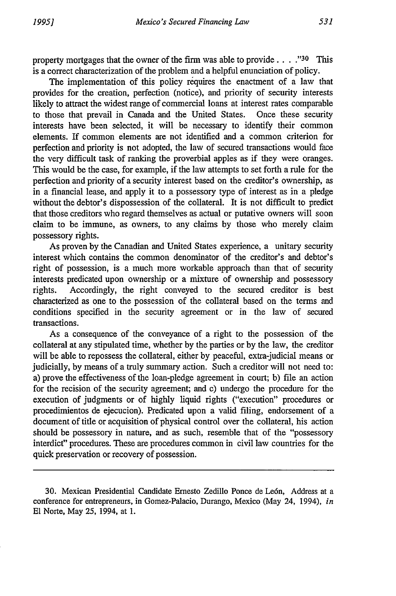property mortgages that the owner of the firm was able to provide **... ."30** This is a correct characterization of the problem and a helpful enunciation of policy.

The implementation of this policy requires the enactment of a law that provides for the creation, perfection (notice), and priority of security interests likely to attract the widest range of commercial loans at interest rates comparable to those that prevail in Canada and the United States. Once these security interests have been selected, it will be necessary to identify their common elements. If common elements are not identified and a common criterion for perfection and priority is not adopted, the law of secured transactions would face the very difficult task of ranking the proverbial apples as if they were oranges. This would be the case, for example, if the law attempts to set forth a rule for the perfection and priority of a security interest based on the creditor's ownership, as in a financial lease, and apply it to a possessory type of interest as in a pledge without the debtor's dispossession of the collateral. It is not difficult to predict that those creditors who regard themselves as actual or putative owners will soon claim to be immune, as owners, to any claims by those who merely claim possessory rights.

As proven by the Canadian and United States experience, a unitary security interest which contains the common denominator of the creditor's and debtor's right of possession, is a much more workable approach than that of security interests predicated upon ownership or a mixture of ownership and possessory rights. Accordingly, the right conveyed to the secured creditor is best characterized as one to the possession of the collateral based on the terms and conditions specified in the security agreement or in the law of secured transactions.

As a consequence of the conveyance of a right to the possession of the collateral at any stipulated time, whether by the parties or by the law, the creditor will be able to repossess the collateral, either by peaceful, extra-judicial means or judicially, by means of a truly summary action. Such a creditor will not need to: a) prove the effectiveness of the loan-pledge agreement in court; b) file an action for the recision of the security agreement; and c) undergo the procedure for the execution of judgments or of highly liquid rights ("execution" procedures or procedimientos de ejecucion). Predicated upon a valid filing, endorsement of a document of title or acquisition of physical control over the collateral, his action should be possessory in nature, and as such, resemble that of the "possessory interdict" procedures. These are procedures common in civil law countries for the quick preservation or recovery of possession.

30. Mexican Presidential Candidate Ernesto Zedillo Ponce de Le6n, Address at a conference for entrepreneurs, in Gomez-Palacio, Durango, Mexico (May 24, 1994), *in* **El** Norte, May 25, 1994, at 1.